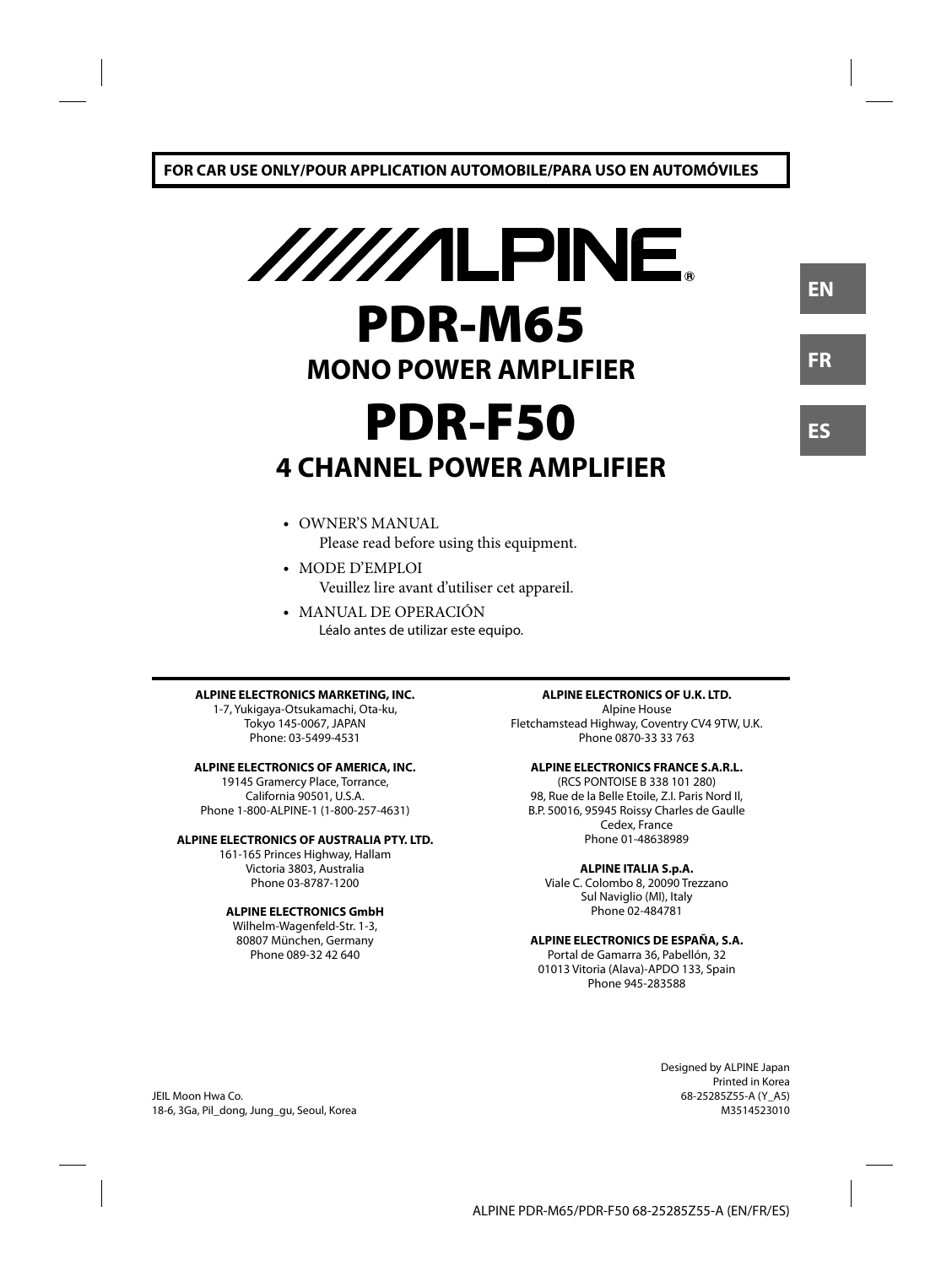# $\frac{1}{\sqrt{1}}$ **PDR-M65 MONO POWER AMPLIFIER PDR-F50 4 CHANNEL POWER AMPLIFIER**

- OWNER'S MANUAL Please read before using this equipment.
- MODE D'EMPLOI Veuillez lire avant d'utiliser cet appareil.
- MANUAL DE OPERACIÓN Léalo antes de utilizar este equipo.

#### **ALPINE ELECTRONICS MARKETING, INC.**

1-7, Yukigaya-Otsukamachi, Ota-ku, Tokyo 145-0067, JAPAN Phone: 03-5499-4531

#### **ALPINE ELECTRONICS OF AMERICA, INC.**

19145 Gramercy Place, Torrance, California 90501, U.S.A. Phone 1-800-ALPINE-1 (1-800-257-4631)

#### **ALPINE ELECTRONICS OF AUSTRALIA PTY. LTD.**

161-165 Princes Highway, Hallam Victoria 3803, Australia Phone 03-8787-1200

#### **ALPINE ELECTRONICS GmbH**

Wilhelm-Wagenfeld-Str. 1-3, 80807 München, Germany Phone 089-32 42 640

#### **ALPINE ELECTRONICS OF U.K. LTD.**

Alpine House Fletchamstead Highway, Coventry CV4 9TW, U.K. Phone 0870-33 33 763

#### **ALPINE ELECTRONICS FRANCE S.A.R.L.**

(RCS PONTOISE B 338 101 280) 98, Rue de la Belle Etoile, Z.I. Paris Nord Il, B.P. 50016, 95945 Roissy Charles de Gaulle Cedex, France Phone 01-48638989

#### **ALPINE ITALIA S.p.A.**

Viale C. Colombo 8, 20090 Trezzano Sul Naviglio (MI), Italy Phone 02-484781

#### **ALPINE ELECTRONICS DE ESPAÑA, S.A.**

Portal de Gamarra 36, Pabellón, 32 01013 Vitoria (Alava)-APDO 133, Spain Phone 945-283588

> Designed by ALPINE Japan Printed in Korea 68-25285Z55-A (Y\_A5) M3514523010

**ES**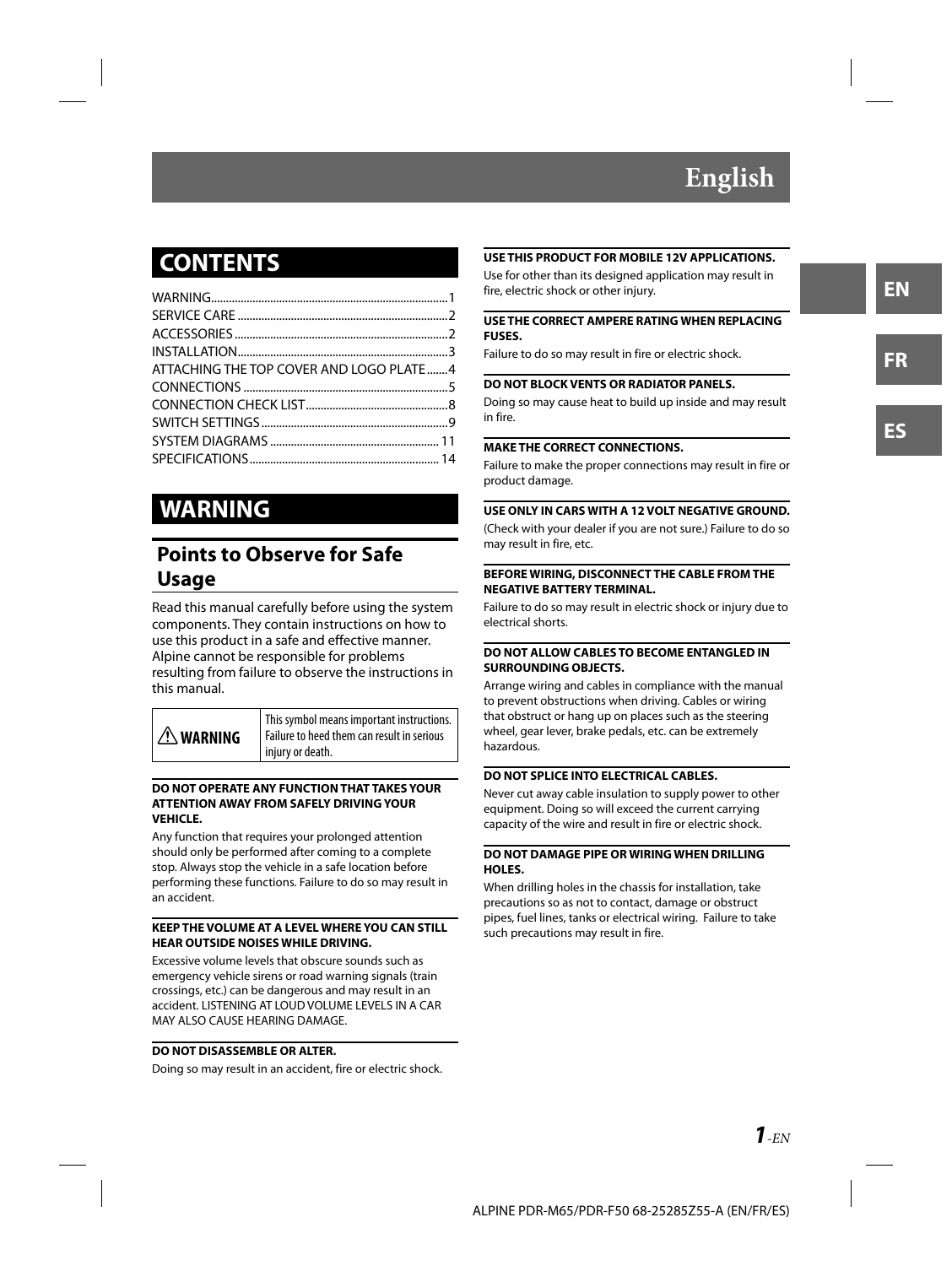### **CONTENTS**

| ATTACHING THE TOP COVER AND LOGO PLATE  4 |  |
|-------------------------------------------|--|
|                                           |  |
|                                           |  |
|                                           |  |
|                                           |  |
|                                           |  |
|                                           |  |

### **WARNING**

### **Points to Observe for Safe Usage**

Read this manual carefully before using the system components. They contain instructions on how to use this product in a safe and effective manner. Alpine cannot be responsible for problems resulting from failure to observe the instructions in this manual.

### **WARNING**

This symbol means important instructions. Failure to heed them can result in serious injury or death.

#### **DO NOT OPERATE ANY FUNCTION THAT TAKES YOUR ATTENTION AWAY FROM SAFELY DRIVING YOUR VEHICLE.**

Any function that requires your prolonged attention should only be performed after coming to a complete stop. Always stop the vehicle in a safe location before performing these functions. Failure to do so may result in an accident.

#### **KEEP THE VOLUME AT A LEVEL WHERE YOU CAN STILL HEAR OUTSIDE NOISES WHILE DRIVING.**

Excessive volume levels that obscure sounds such as emergency vehicle sirens or road warning signals (train crossings, etc.) can be dangerous and may result in an accident. LISTENING AT LOUD VOLUME LEVELS IN A CAR MAY ALSO CAUSE HEARING DAMAGE.

#### **DO NOT DISASSEMBLE OR ALTER.**

Doing so may result in an accident, fire or electric shock.

#### **USE THIS PRODUCT FOR MOBILE 12V APPLICATIONS.**

Use for other than its designed application may result in fire, electric shock or other injury.

#### **USE THE CORRECT AMPERE RATING WHEN REPLACING FUSES.**

Failure to do so may result in fire or electric shock.

#### **DO NOT BLOCK VENTS OR RADIATOR PANELS.**

Doing so may cause heat to build up inside and may result in fire.

#### **MAKE THE CORRECT CONNECTIONS.**

Failure to make the proper connections may result in fire or product damage.

#### **USE ONLY IN CARS WITH A 12 VOLT NEGATIVE GROUND.**

(Check with your dealer if you are not sure.) Failure to do so may result in fire, etc.

#### **BEFORE WIRING, DISCONNECT THE CABLE FROM THE NEGATIVE BATTERY TERMINAL.**

Failure to do so may result in electric shock or injury due to electrical shorts.

#### **DO NOT ALLOW CABLES TO BECOME ENTANGLED IN SURROUNDING OBJECTS.**

Arrange wiring and cables in compliance with the manual to prevent obstructions when driving. Cables or wiring that obstruct or hang up on places such as the steering wheel, gear lever, brake pedals, etc. can be extremely hazardous.

#### **DO NOT SPLICE INTO ELECTRICAL CABLES.**

Never cut away cable insulation to supply power to other equipment. Doing so will exceed the current carrying capacity of the wire and result in fire or electric shock.

#### **DO NOT DAMAGE PIPE OR WIRING WHEN DRILLING HOLES.**

When drilling holes in the chassis for installation, take precautions so as not to contact, damage or obstruct pipes, fuel lines, tanks or electrical wiring. Failure to take such precautions may result in fire.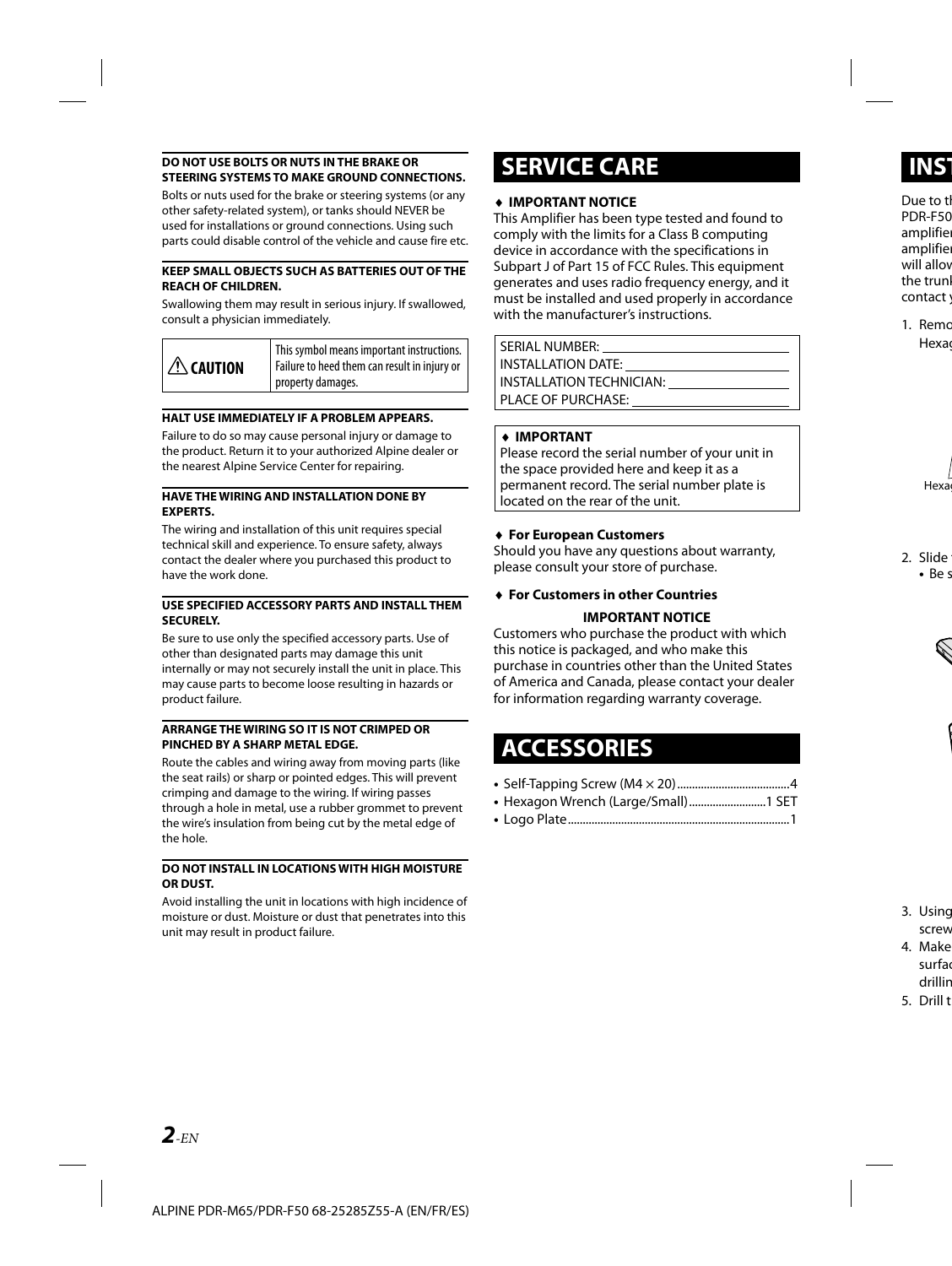#### **DO NOT USE BOLTS OR NUTS IN THE BRAKE OR STEERING SYSTEMS TO MAKE GROUND CONNECTIONS.**

Bolts or nuts used for the brake or steering systems (or any other safety-related system), or tanks should NEVER be used for installations or ground connections. Using such parts could disable control of the vehicle and cause fire etc.

#### **KEEP SMALL OBJECTS SUCH AS BATTERIES OUT OF THE REACH OF CHILDREN.**

Swallowing them may result in serious injury. If swallowed, consult a physician immediately.

| $\Lambda$ caution | This symbol means important instructions.<br>Failure to heed them can result in injury or  <br><sup>1</sup> property damages. |
|-------------------|-------------------------------------------------------------------------------------------------------------------------------|
|-------------------|-------------------------------------------------------------------------------------------------------------------------------|

#### **HALT USE IMMEDIATELY IF A PROBLEM APPEARS.**

Failure to do so may cause personal injury or damage to the product. Return it to your authorized Alpine dealer or the nearest Alpine Service Center for repairing.

#### **HAVE THE WIRING AND INSTALLATION DONE BY EXPERTS.**

The wiring and installation of this unit requires special technical skill and experience. To ensure safety, always contact the dealer where you purchased this product to have the work done.

#### **USE SPECIFIED ACCESSORY PARTS AND INSTALL THEM SECURELY.**

Be sure to use only the specified accessory parts. Use of other than designated parts may damage this unit internally or may not securely install the unit in place. This may cause parts to become loose resulting in hazards or product failure.

#### **ARRANGE THE WIRING SO IT IS NOT CRIMPED OR PINCHED BY A SHARP METAL EDGE.**

Route the cables and wiring away from moving parts (like the seat rails) or sharp or pointed edges. This will prevent crimping and damage to the wiring. If wiring passes through a hole in metal, use a rubber grommet to prevent the wire's insulation from being cut by the metal edge of the hole.

#### **DO NOT INSTALL IN LOCATIONS WITH HIGH MOISTURE OR DUST.**

Avoid installing the unit in locations with high incidence of moisture or dust. Moisture or dust that penetrates into this unit may result in product failure.

### **SERVICE CARE**

#### **IMPORTANT NOTICE**

This Amplifier has been type tested and found to comply with the limits for a Class B computing device in accordance with the specifications in Subpart J of Part 15 of FCC Rules. This equipment generates and uses radio frequency energy, and it must be installed and used properly in accordance with the manufacturer's instructions.

SERIAL NUMBER: INSTALLATION DATE: INSTALLATION TECHNICIAN: PLACE OF PURCHASE:

#### **IMPORTANT**

Please record the serial number of your unit in the space provided here and keep it as a permanent record. The serial number plate is located on the rear of the unit.

#### **For European Customers**

Should you have any questions about warranty, please consult your store of purchase.

### **For Customers in other Countries**

#### **IMPORTANT NOTICE**

Customers who purchase the product with which this notice is packaged, and who make this purchase in countries other than the United States of America and Canada, please contact your dealer for information regarding warranty coverage.

### **ACCESSORIES**

- Self-Tapping Screw (M4 × 20) ......................................4
- Hexagon Wrench (Large/Small) ..........................1 SET
- Logo Plate ...........................................................................1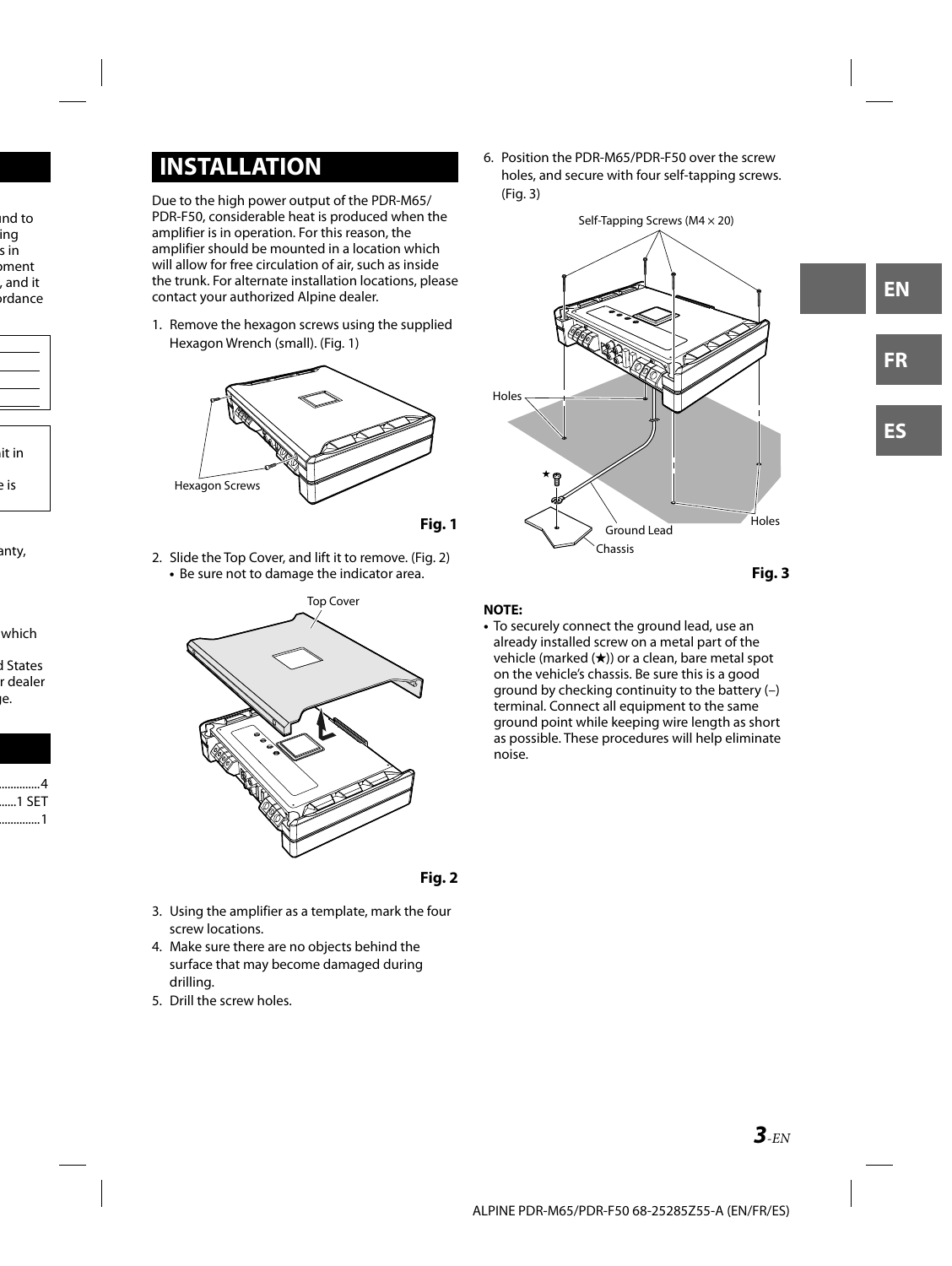### **INSTALLATION**

Due to the high power output of the PDR-M65/ PDR-F50, considerable heat is produced when the amplifier is in operation. For this reason, the amplifier should be mounted in a location which will allow for free circulation of air, such as inside the trunk. For alternate installation locations, please contact your authorized Alpine dealer.

1. Remove the hexagon screws using the supplied Hexagon Wrench (small). (Fig. 1)



 **Fig. 1**

2. Slide the Top Cover, and lift it to remove. (Fig. 2) **•** Be sure not to damage the indicator area.





- 3. Using the amplifier as a template, mark the four screw locations.
- 4. Make sure there are no objects behind the surface that may become damaged during drilling.
- 5. Drill the screw holes.

6. Position the PDR-M65/PDR-F50 over the screw holes, and secure with four self-tapping screws. (Fig. 3)



 **Fig. 3**

#### **NOTE:**

**•** To securely connect the ground lead, use an already installed screw on a metal part of the vehicle (marked  $(\star)$ ) or a clean, bare metal spot on the vehicle's chassis. Be sure this is a good ground by checking continuity to the battery (–) terminal. Connect all equipment to the same ground point while keeping wire length as short as possible. These procedures will help eliminate noise.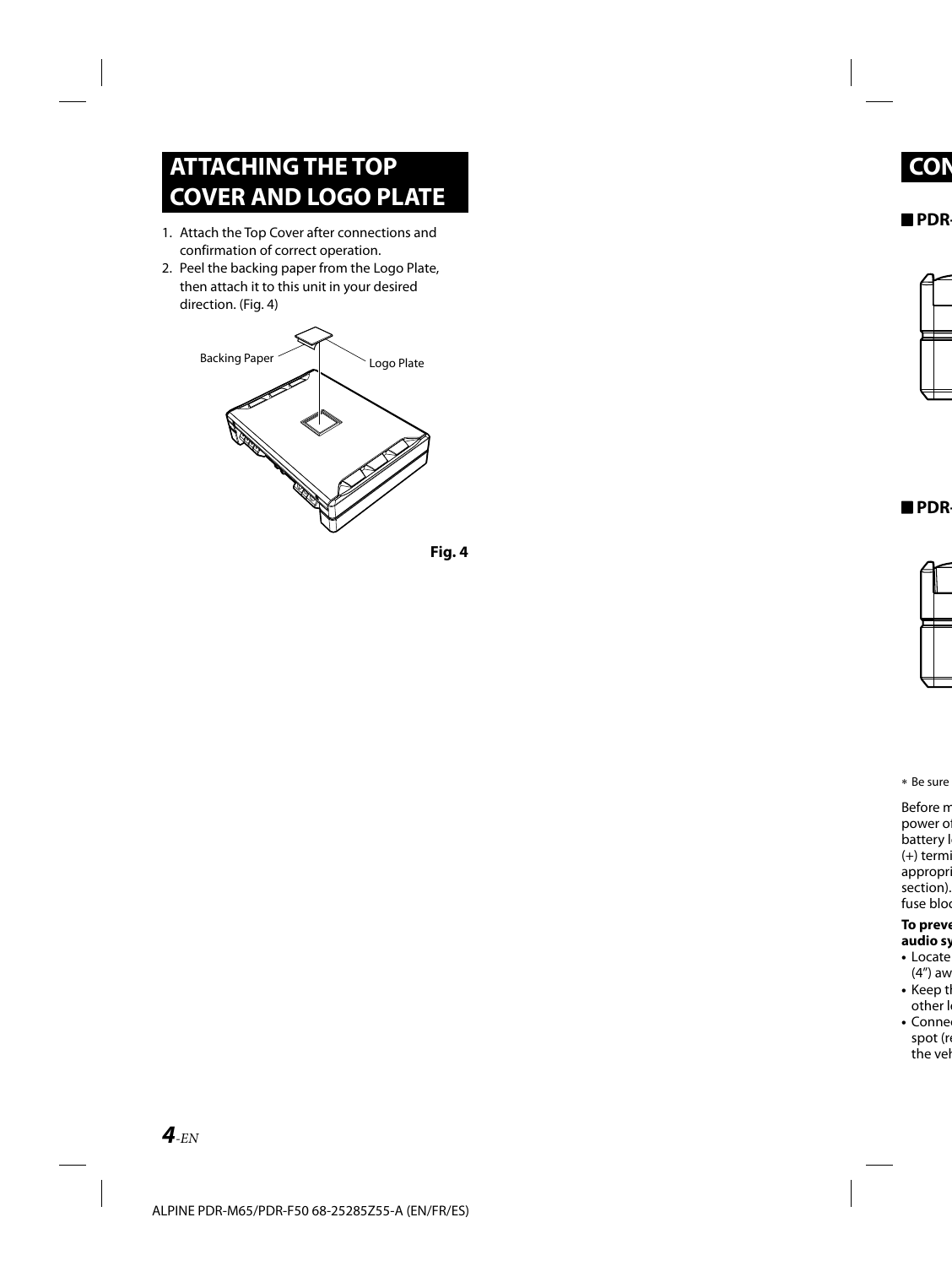### **ATTACHING THE TOP COVER AND LOGO PLATE**

- 1. Attach the Top Cover after connections and confirmation of correct operation.
- 2. Peel the backing paper from the Logo Plate, then attach it to this unit in your desired direction. (Fig. 4)



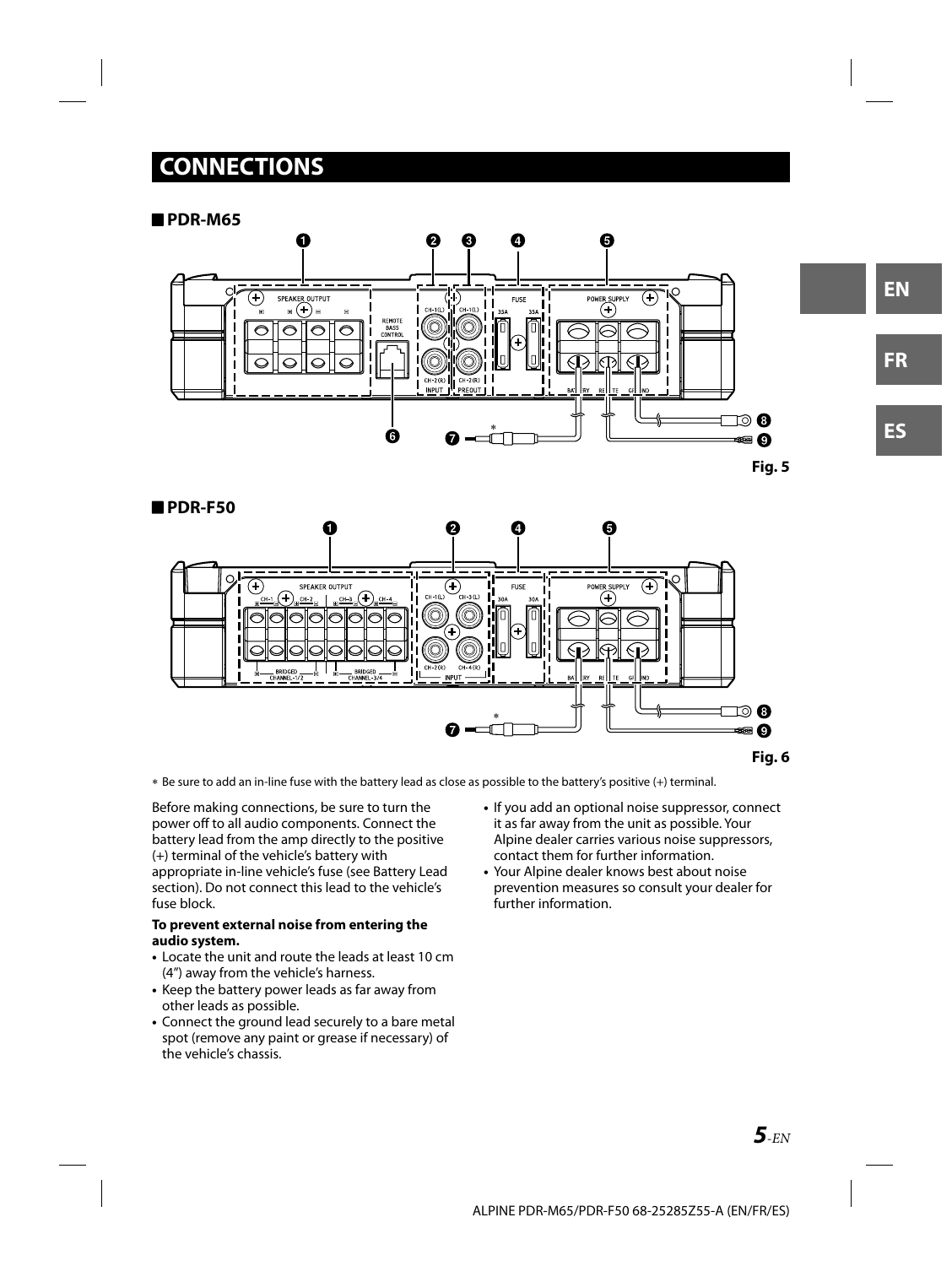### **CONNECTIONS**

#### **PDR-M65**



**Fig. 5**



Be sure to add an in-line fuse with the battery lead as close as possible to the battery's positive (+) terminal.

Before making connections, be sure to turn the power off to all audio components. Connect the battery lead from the amp directly to the positive (+) terminal of the vehicle's battery with appropriate in-line vehicle's fuse (see Battery Lead section). Do not connect this lead to the vehicle's fuse block.

#### **To prevent external noise from entering the audio system.**

- Locate the unit and route the leads at least 10 cm (4") away from the vehicle's harness.
- Keep the battery power leads as far away from other leads as possible.
- Connect the ground lead securely to a bare metal spot (remove any paint or grease if necessary) of the vehicle's chassis.
- If you add an optional noise suppressor, connect it as far away from the unit as possible. Your Alpine dealer carries various noise suppressors, contact them for further information.
- Your Alpine dealer knows best about noise prevention measures so consult your dealer for further information.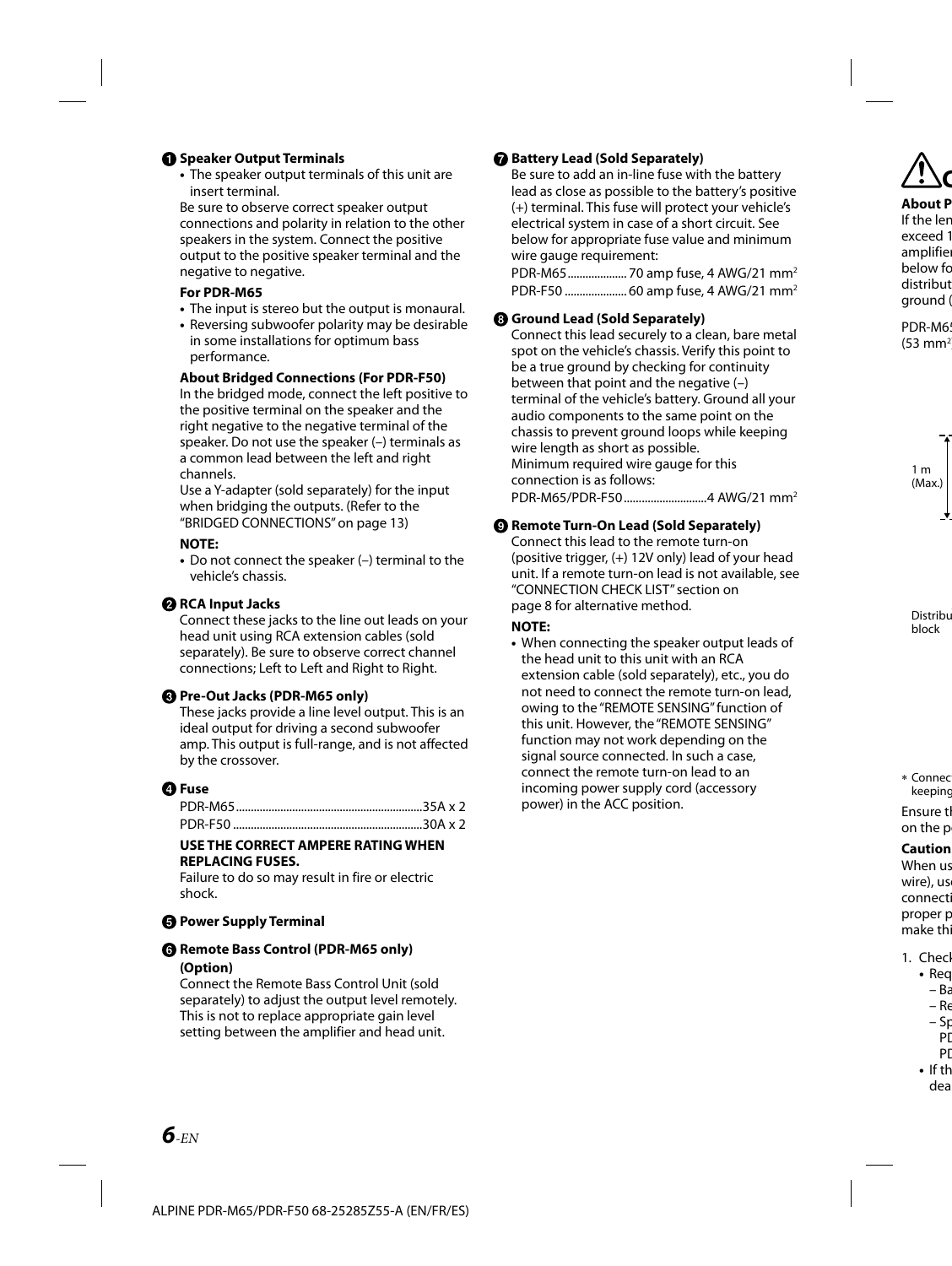#### **<sup>O</sup>** Speaker Output Terminals

**•** The speaker output terminals of this unit are insert terminal.

Be sure to observe correct speaker output connections and polarity in relation to the other speakers in the system. Connect the positive output to the positive speaker terminal and the negative to negative.

#### **For PDR-M65**

- The input is stereo but the output is monaural.
- Reversing subwoofer polarity may be desirable in some installations for optimum bass performance.

#### **About Bridged Connections (For PDR-F50)**

In the bridged mode, connect the left positive to the positive terminal on the speaker and the right negative to the negative terminal of the speaker. Do not use the speaker (–) terminals as a common lead between the left and right channels.

Use a Y-adapter (sold separately) for the input when bridging the outputs. (Refer to the "BRIDGED CONNECTIONS" on page 13)

#### **NOTE:**

**•** Do not connect the speaker (–) terminal to the vehicle's chassis.

#### **A** RCA Input Jacks

Connect these jacks to the line out leads on your head unit using RCA extension cables (sold separately). Be sure to observe correct channel connections; Left to Left and Right to Right.

#### **Pre-Out Jacks (PDR-M65 only)**

These jacks provide a line level output. This is an ideal output for driving a second subwoofer amp. This output is full-range, and is not affected by the crossover.

#### **Fuse**

#### **USE THE CORRECT AMPERE RATING WHEN REPLACING FUSES.**

Failure to do so may result in fire or electric shock.

#### **<b>a** Power Supply Terminal

#### $\bigcirc$  **Remote Bass Control (PDR-M65 only) (Option)**

Connect the Remote Bass Control Unit (sold separately) to adjust the output level remotely. This is not to replace appropriate gain level setting between the amplifier and head unit.

#### **Battery Lead (Sold Separately)**

Be sure to add an in-line fuse with the battery lead as close as possible to the battery's positive (+) terminal. This fuse will protect your vehicle's electrical system in case of a short circuit. See below for appropriate fuse value and minimum wire gauge requirement:

PDR-M65 .................... 70 amp fuse, 4 AWG/21 mm2 PDR-F50 ..................... 60 amp fuse, 4 AWG/21 mm2

#### **Ground Lead (Sold Separately)**

Connect this lead securely to a clean, bare metal spot on the vehicle's chassis. Verify this point to be a true ground by checking for continuity between that point and the negative (–) terminal of the vehicle's battery. Ground all your audio components to the same point on the chassis to prevent ground loops while keeping wire length as short as possible. Minimum required wire gauge for this connection is as follows: PDR-M65/PDR-F50 ............................4 AWG/21 mm2

#### **Remote Turn-On Lead (Sold Separately)**

Connect this lead to the remote turn-on (positive trigger, (+) 12V only) lead of your head unit. If a remote turn-on lead is not available, see "CONNECTION CHECK LIST" section on page 8 for alternative method.

#### **NOTE:**

**•** When connecting the speaker output leads of the head unit to this unit with an RCA extension cable (sold separately), etc., you do not need to connect the remote turn-on lead, owing to the "REMOTE SENSING" function of this unit. However, the "REMOTE SENSING" function may not work depending on the signal source connected. In such a case, connect the remote turn-on lead to an incoming power supply cord (accessory power) in the ACC position.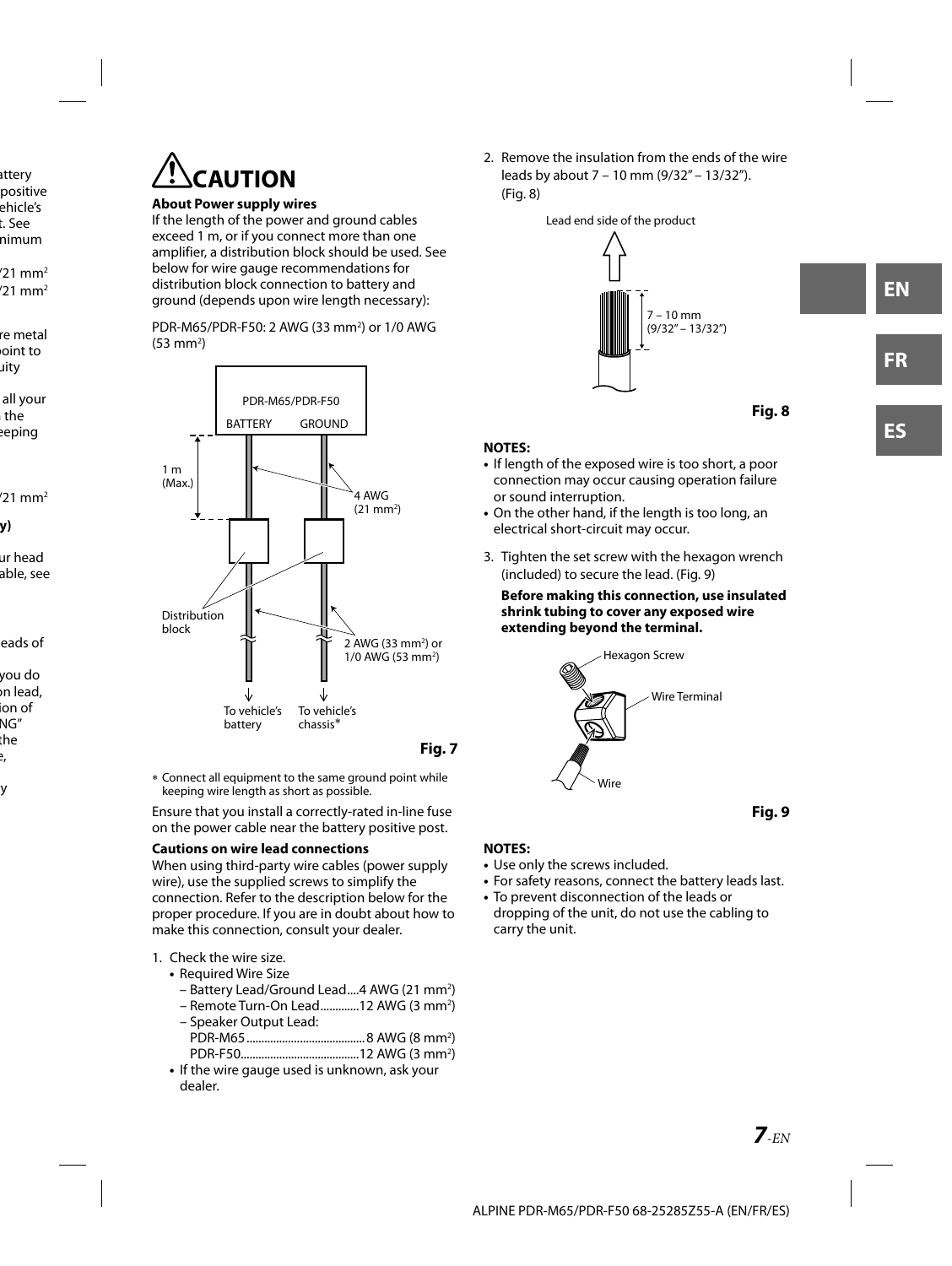

#### **About Power supply wires**

If the length of the power and ground cables exceed 1 m, or if you connect more than one amplifier, a distribution block should be used. See below for wire gauge recommendations for distribution block connection to battery and ground (depends upon wire length necessary):

PDR-M65/PDR-F50: 2 AWG (33 mm2 ) or 1/0 AWG (53 mm<sup>2</sup>)



**Fig. 7**

 Connect all equipment to the same ground point while keeping wire length as short as possible.

Ensure that you install a correctly-rated in-line fuse on the power cable near the battery positive post.

#### **Cautions on wire lead connections**

When using third-party wire cables (power supply wire), use the supplied screws to simplify the connection. Refer to the description below for the proper procedure. If you are in doubt about how to make this connection, consult your dealer.

#### 1. Check the wire size.

- Required Wire Size
	- Battery Lead/Ground Lead....4 AWG (21 mm<sup>2</sup>)
	- Remote Turn-On Lead..............12 AWG (3 mm<sup>2</sup>)
	- Speaker Output Lead: PDR-M65 ........................................ 8 AWG (8 mm2 )
	- PDR-F50........................................12 AWG (3 mm2 )
- If the wire gauge used is unknown, ask your dealer.

2. Remove the insulation from the ends of the wire leads by about 7 – 10 mm (9/32" – 13/32"). (Fig. 8)





#### **NOTES:**

- If length of the exposed wire is too short, a poor connection may occur causing operation failure or sound interruption.
- On the other hand, if the length is too long, an electrical short-circuit may occur.
- 3. Tighten the set screw with the hexagon wrench (included) to secure the lead. (Fig. 9)

#### **Before making this connection, use insulated shrink tubing to cover any exposed wire extending beyond the terminal.**





#### **NOTES:**

- Use only the screws included.
- For safety reasons, connect the battery leads last.
- To prevent disconnection of the leads or dropping of the unit, do not use the cabling to carry the unit.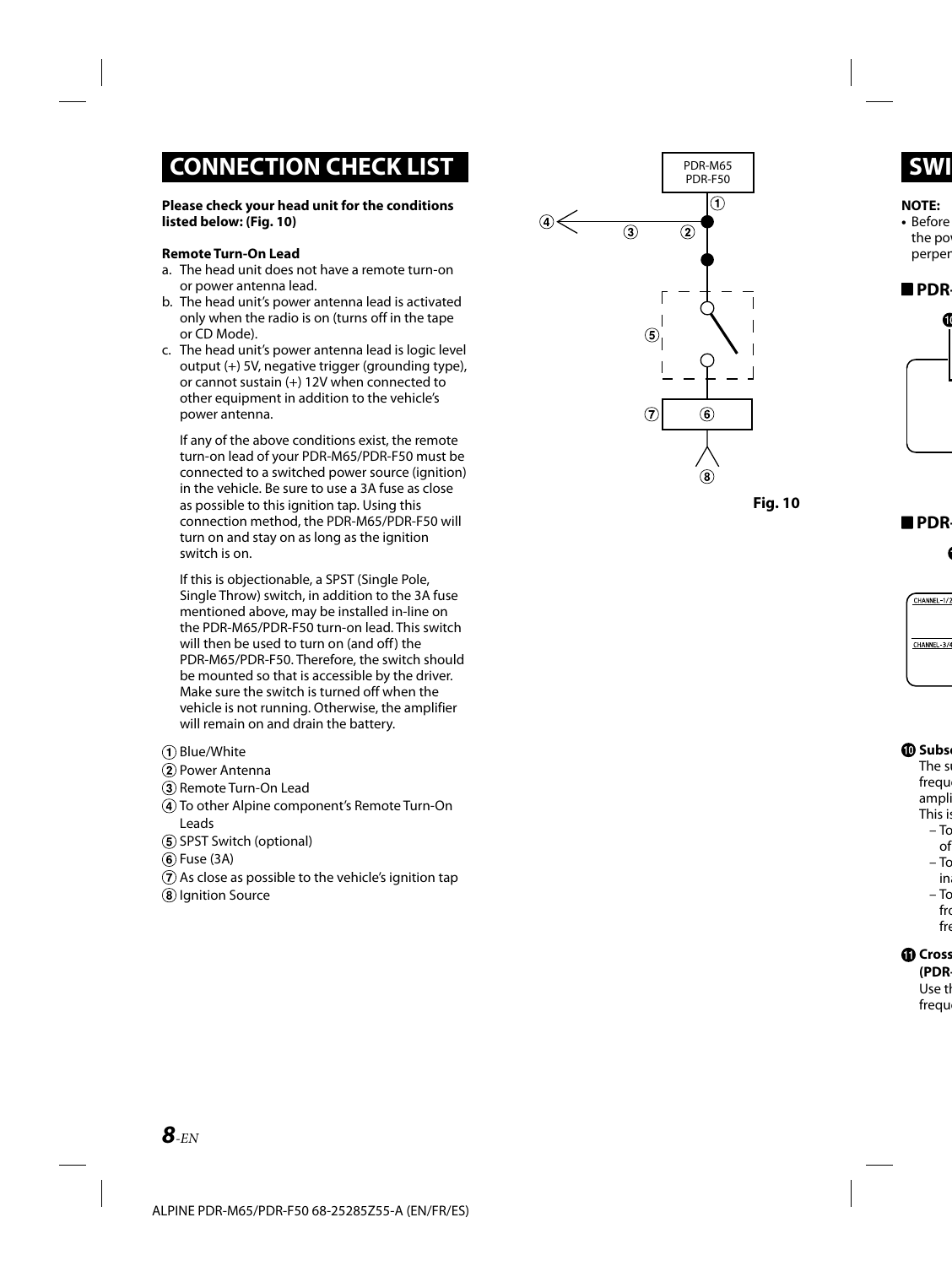### **CONNECTION CHECK LIST**

#### **Please check your head unit for the conditions listed below: (Fig. 10)**

#### **Remote Turn-On Lead**

- a. The head unit does not have a remote turn-on or power antenna lead.
- b. The head unit's power antenna lead is activated only when the radio is on (turns off in the tape or CD Mode).
- c. The head unit's power antenna lead is logic level output (+) 5V, negative trigger (grounding type), or cannot sustain (+) 12V when connected to other equipment in addition to the vehicle's power antenna.

If any of the above conditions exist, the remote turn-on lead of your PDR-M65/PDR-F50 must be connected to a switched power source (ignition) in the vehicle. Be sure to use a 3A fuse as close as possible to this ignition tap. Using this connection method, the PDR-M65/PDR-F50 will turn on and stay on as long as the ignition switch is on.

If this is objectionable, a SPST (Single Pole, Single Throw) switch, in addition to the 3A fuse mentioned above, may be installed in-line on the PDR-M65/PDR-F50 turn-on lead. This switch will then be used to turn on (and off) the PDR-M65/PDR-F50. Therefore, the switch should be mounted so that is accessible by the driver. Make sure the switch is turned off when the vehicle is not running. Otherwise, the amplifier will remain on and drain the battery.

- Blue/White
- Power Antenna
- 3) Remote Turn-On Lead
- To other Alpine component's Remote Turn-On Leads
- (5) SPST Switch (optional)
- Fuse (3A)
- $\overline{a}$ ) As close as possible to the vehicle's ignition tap
- <sup>(8)</sup> Ignition Source



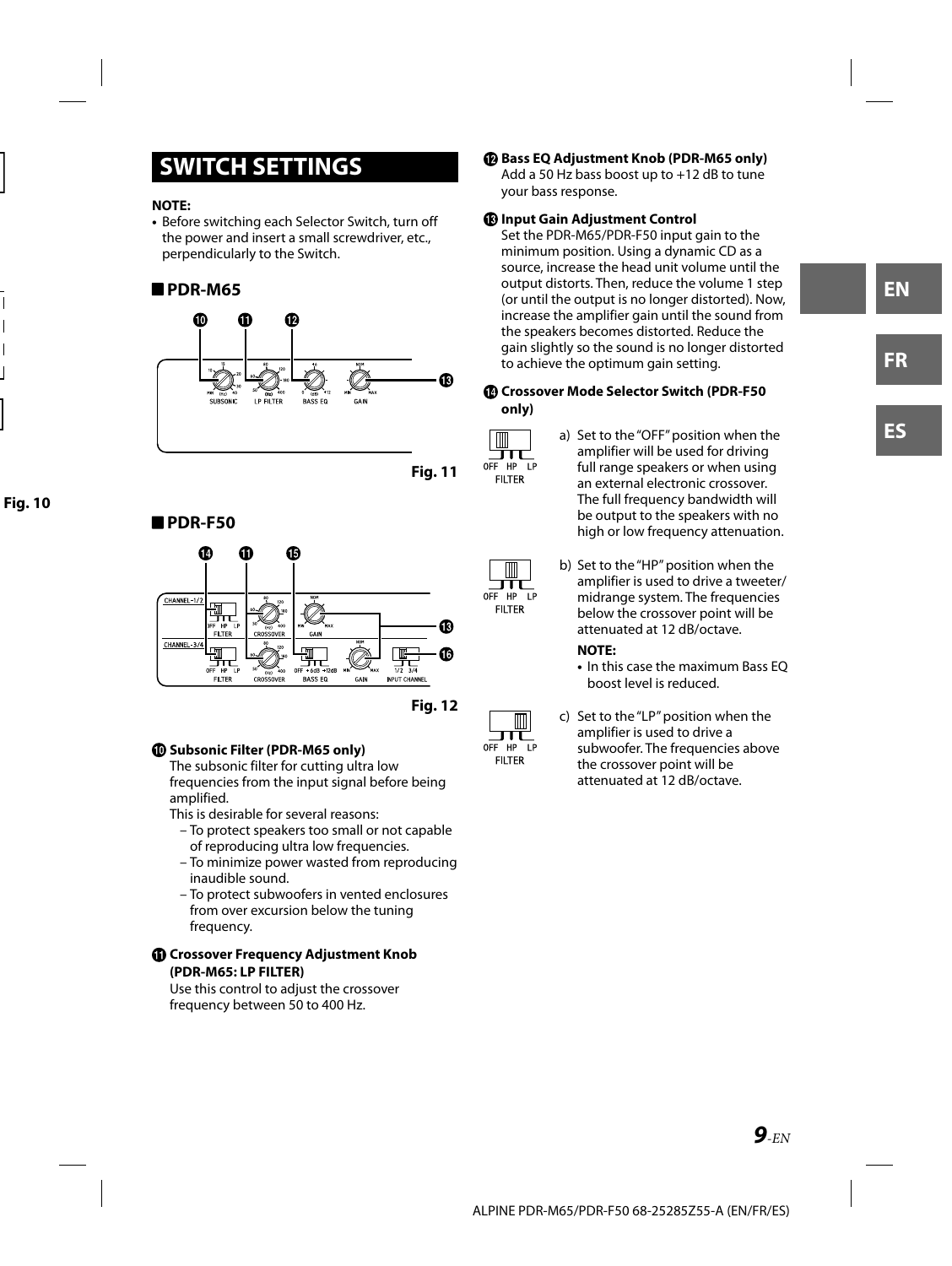### **SWITCH SETTINGS**

#### **NOTE:**

**•** Before switching each Selector Switch, turn off the power and insert a small screwdriver, etc., perpendicularly to the Switch.

#### **PDR-M65**



**Fig. 11**

 $\blacksquare$ π OFF HP LP **FILTER** 

 $\overline{\mathbb{m}}$ Ш OFF HP LP

**FILTER** 

#### **PDR-F50**



**Fig. 12**

#### **Subsonic Filter (PDR-M65 only)**

The subsonic filter for cutting ultra low frequencies from the input signal before being amplified.

This is desirable for several reasons:

- To protect speakers too small or not capable of reproducing ultra low frequencies.
- To minimize power wasted from reproducing inaudible sound.
- To protect subwoofers in vented enclosures from over excursion below the tuning frequency.

#### **Crossover Frequency Adjustment Knob (PDR-M65: LP FILTER)**

Use this control to adjust the crossover frequency between 50 to 400 Hz.

 **Bass EQ Adjustment Knob (PDR-M65 only)** Add a 50 Hz bass boost up to +12 dB to tune your bass response.

#### **Input Gain Adjustment Control**

Set the PDR-M65/PDR-F50 input gain to the minimum position. Using a dynamic CD as a source, increase the head unit volume until the output distorts. Then, reduce the volume 1 step (or until the output is no longer distorted). Now, increase the amplifier gain until the sound from the speakers becomes distorted. Reduce the gain slightly so the sound is no longer distorted to achieve the optimum gain setting.

#### **Crossover Mode Selector Switch (PDR-F50 only)**

- a) Set to the "OFF" position when the amplifier will be used for driving full range speakers or when using an external electronic crossover. The full frequency bandwidth will be output to the speakers with no high or low frequency attenuation.
	- b) Set to the "HP" position when the amplifier is used to drive a tweeter/ midrange system. The frequencies below the crossover point will be attenuated at 12 dB/octave.

#### **NOTE:**

- In this case the maximum Bass EQ boost level is reduced.
- c) Set to the "LP" position when the amplifier is used to drive a subwoofer. The frequencies above the crossover point will be attenuated at 12 dB/octave.

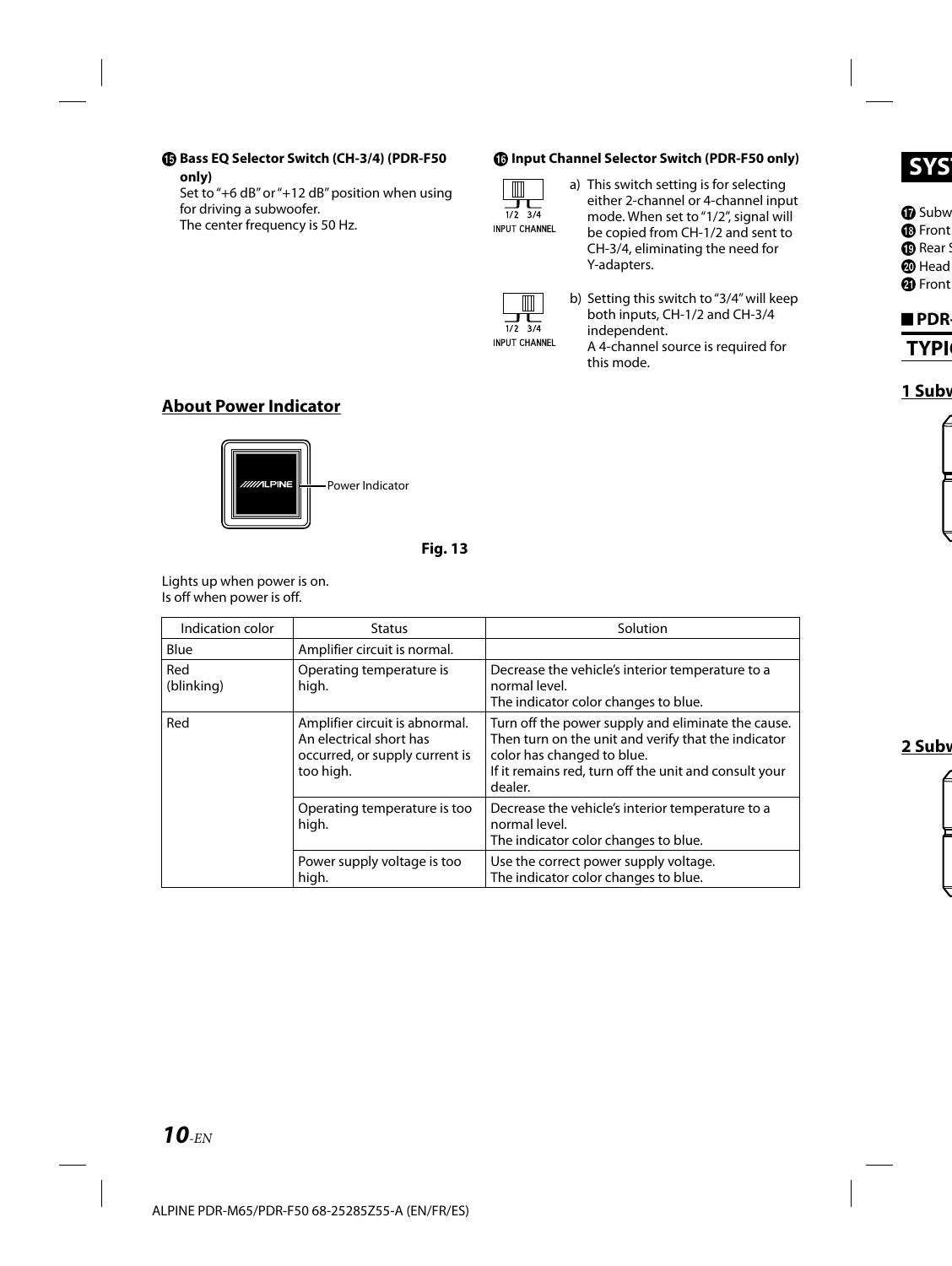#### **Bass EQ Selector Switch (CH-3/4) (PDR-F50 only)**

Set to "+6 dB" or "+12 dB" position when using for driving a subwoofer. The center frequency is 50 Hz.

#### **Input Channel Selector Switch (PDR-F50 only)**



a) This switch setting is for selecting either 2-channel or 4-channel input mode. When set to "1/2", signal will be copied from CH-1/2 and sent to CH-3/4, eliminating the need for Y-adapters.



b) Setting this switch to "3/4" will keep both inputs, CH-1/2 and CH-3/4 independent. A 4-channel source is required for this mode.

### **About Power Indicator**



**Fig. 13**

Lights up when power is on. Is off when power is off.

| Indication color  | <b>Status</b>                                                                                            | Solution                                                                                                                                                                                                    |  |
|-------------------|----------------------------------------------------------------------------------------------------------|-------------------------------------------------------------------------------------------------------------------------------------------------------------------------------------------------------------|--|
| Blue              | Amplifier circuit is normal.                                                                             |                                                                                                                                                                                                             |  |
| Red<br>(blinking) | Operating temperature is<br>high.                                                                        | Decrease the vehicle's interior temperature to a<br>normal level.<br>The indicator color changes to blue.                                                                                                   |  |
| Red               | Amplifier circuit is abnormal.<br>An electrical short has<br>occurred, or supply current is<br>too high. | Turn off the power supply and eliminate the cause.<br>Then turn on the unit and verify that the indicator<br>color has changed to blue.<br>If it remains red, turn off the unit and consult your<br>dealer. |  |
|                   | Operating temperature is too<br>high.                                                                    | Decrease the vehicle's interior temperature to a<br>normal level.<br>The indicator color changes to blue.                                                                                                   |  |
|                   | Power supply voltage is too<br>high.                                                                     | Use the correct power supply voltage.<br>The indicator color changes to blue.                                                                                                                               |  |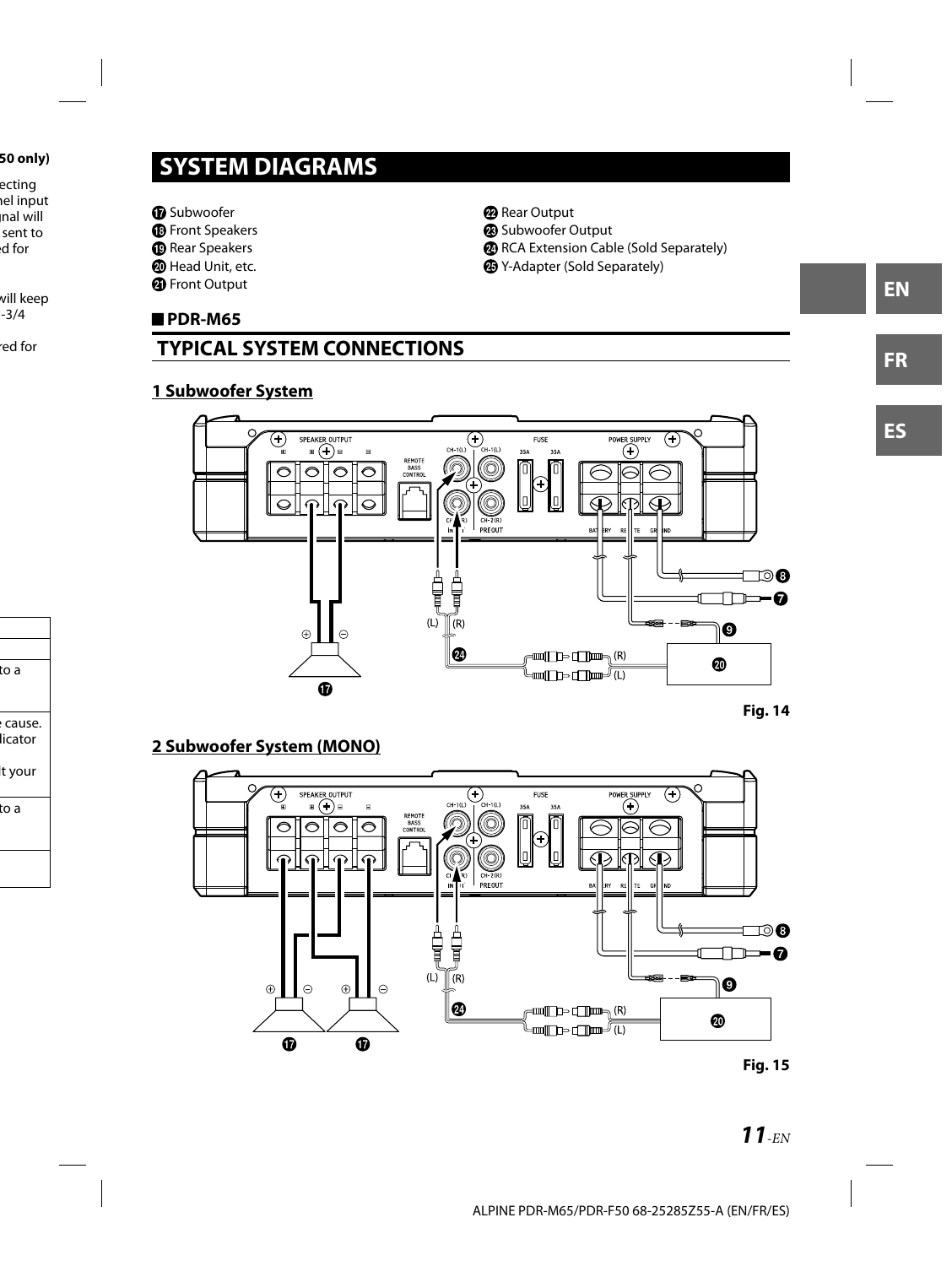### **SYSTEM DIAGRAMS**

*O* Subwoofer

**B** Front Speakers

<sup>®</sup> Rear Speakers

**@** Head Unit, etc.

**4** Front Output

#### **PDR-M65**

### **TYPICAL SYSTEM CONNECTIONS**

### **1 Subwoofer System**

#### SPEAKER OUTPUT  $\overline{\bigoplus_{D \subset \text{CH-1}(L)}}$  $\overline{\textbf{F}}$ POWER SUPPLY  $\left(\text{+}\right)$ FLISE  $CH-10$ .<br>354 354 Œ  $\overline{\Omega}$  $\overline{\circ}$ BASS<br>CONTR  $\hat{C}$ ⌒  $\overline{\circ}$ (C  $\subset$ PREQUIT ⊤⊚ค T f ъ-0  $\widetilde{R}$  $(L)$  $\boldsymbol{\Theta}$  $\oplus$ Ø  $\text{tr}(\text{tr}(\mathbf{R})) = \text{tr}(\mathbf{R})$ ❹

**Fig. 14**

### **2 Subwoofer System (MONO)**

 $\mathbf{D}$ 





<sup>2</sup> Rear Output **B** Subwoofer Output

**2** RCA Extension Cable (Sold Separately)

Y-Adapter (Sold Separately)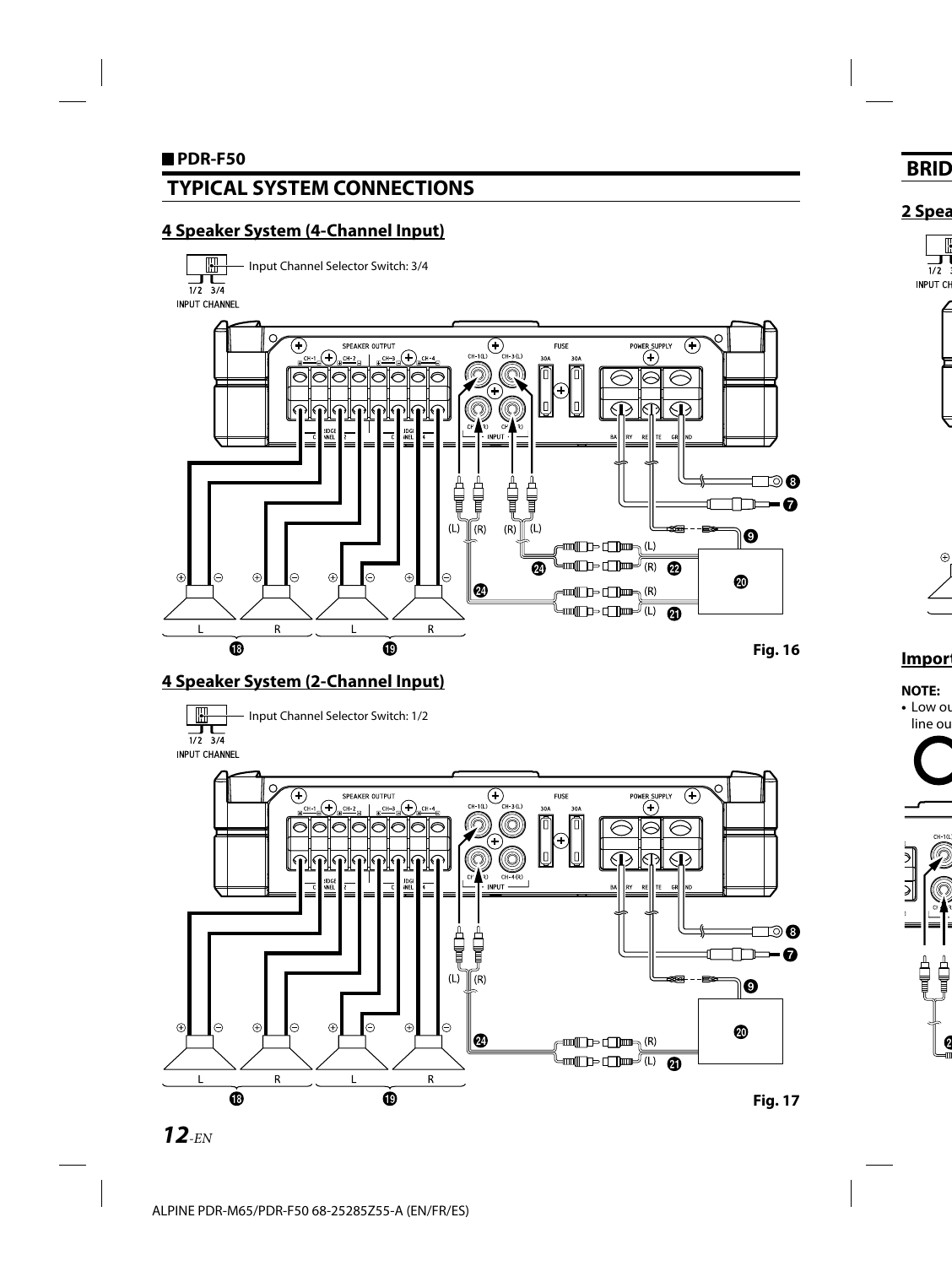### **TYPICAL SYSTEM CONNECTIONS**

### **4 Speaker System (4-Channel Input)**

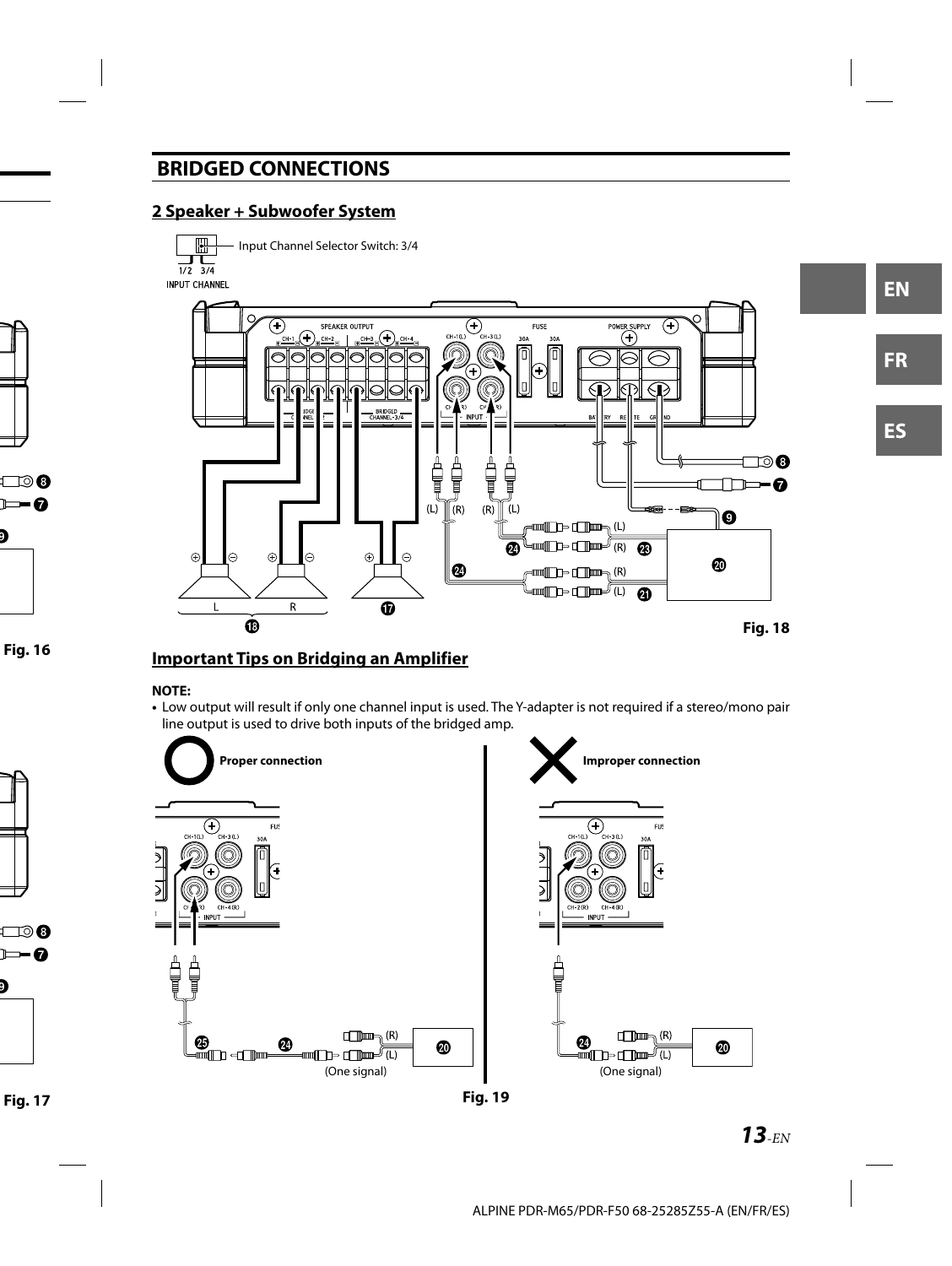### **BRIDGED CONNECTIONS**

### **2 Speaker + Subwoofer System**



#### **Important Tips on Bridging an Amplifier**

#### **NOTE:**

**•** Low output will result if only one channel input is used. The Y-adapter is not required if a stereo/mono pair line output is used to drive both inputs of the bridged amp.



**Fig. 19**